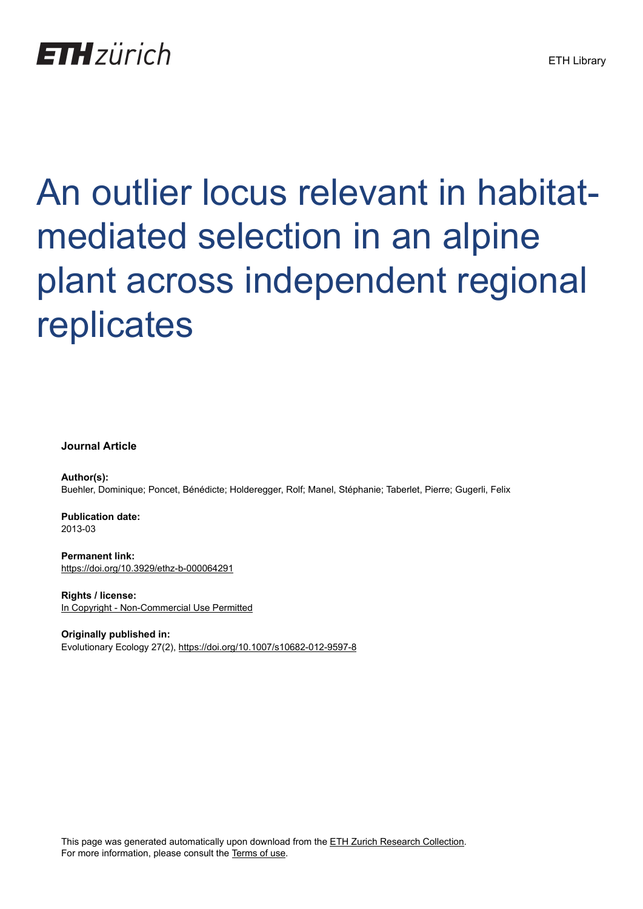## **ETH** zürich

# An outlier locus relevant in habitatmediated selection in an alpine plant across independent regional replicates

#### **Journal Article**

**Author(s):** Buehler, Dominique; Poncet, Bénédicte; Holderegger, Rolf; Manel, Stéphanie; Taberlet, Pierre; Gugerli, Felix

**Publication date:** 2013-03

**Permanent link:** <https://doi.org/10.3929/ethz-b-000064291>

**Rights / license:** [In Copyright - Non-Commercial Use Permitted](http://rightsstatements.org/page/InC-NC/1.0/)

**Originally published in:** Evolutionary Ecology 27(2),<https://doi.org/10.1007/s10682-012-9597-8>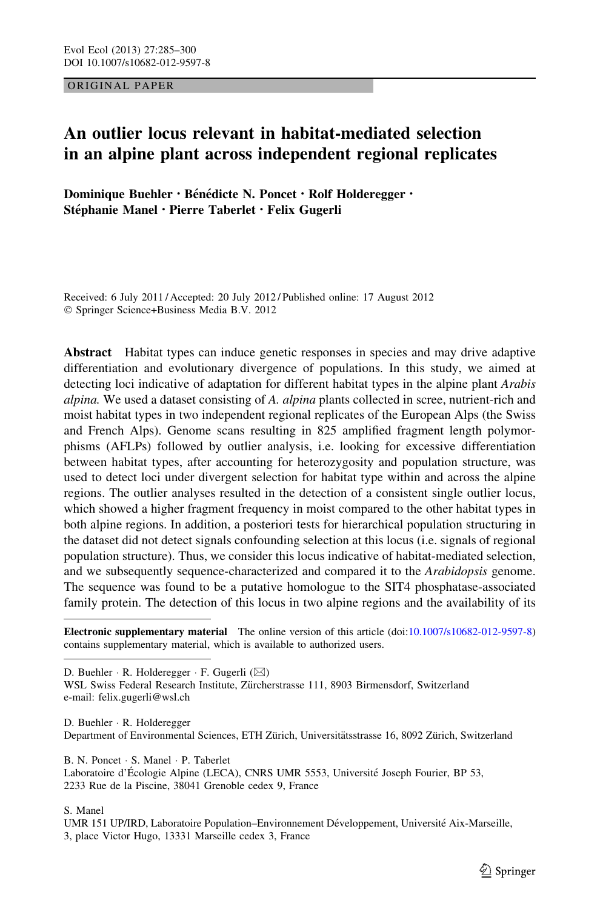ORIGINAL PAPER

### An outlier locus relevant in habitat-mediated selection in an alpine plant across independent regional replicates

Dominique Buehler · Bénédicte N. Poncet · Rolf Holderegger · Stéphanie Manel • Pierre Taberlet • Felix Gugerli

Received: 6 July 2011 / Accepted: 20 July 2012 / Published online: 17 August 2012 - Springer Science+Business Media B.V. 2012

Abstract Habitat types can induce genetic responses in species and may drive adaptive differentiation and evolutionary divergence of populations. In this study, we aimed at detecting loci indicative of adaptation for different habitat types in the alpine plant Arabis alpina. We used a dataset consisting of A. alpina plants collected in scree, nutrient-rich and moist habitat types in two independent regional replicates of the European Alps (the Swiss and French Alps). Genome scans resulting in 825 amplified fragment length polymorphisms (AFLPs) followed by outlier analysis, i.e. looking for excessive differentiation between habitat types, after accounting for heterozygosity and population structure, was used to detect loci under divergent selection for habitat type within and across the alpine regions. The outlier analyses resulted in the detection of a consistent single outlier locus, which showed a higher fragment frequency in moist compared to the other habitat types in both alpine regions. In addition, a posteriori tests for hierarchical population structuring in the dataset did not detect signals confounding selection at this locus (i.e. signals of regional population structure). Thus, we consider this locus indicative of habitat-mediated selection, and we subsequently sequence-characterized and compared it to the *Arabidopsis* genome. The sequence was found to be a putative homologue to the SIT4 phosphatase-associated family protein. The detection of this locus in two alpine regions and the availability of its

Electronic supplementary material The online version of this article (doi[:10.1007/s10682-012-9597-8\)](http://dx.doi.org/10.1007/s10682-012-9597-8) contains supplementary material, which is available to authorized users.

D. Buehler · R. Holderegger · F. Gugerli (⊠)

WSL Swiss Federal Research Institute, Zürcherstrasse 111, 8903 Birmensdorf, Switzerland e-mail: felix.gugerli@wsl.ch

D. Buehler - R. Holderegger Department of Environmental Sciences, ETH Zürich, Universitätsstrasse 16, 8092 Zürich, Switzerland

B. N. Poncet - S. Manel - P. Taberlet Laboratoire d'Écologie Alpine (LECA), CNRS UMR 5553, Université Joseph Fourier, BP 53, 2233 Rue de la Piscine, 38041 Grenoble cedex 9, France

S. Manel

UMR 151 UP/IRD, Laboratoire Population–Environnement Développement, Université Aix-Marseille, 3, place Victor Hugo, 13331 Marseille cedex 3, France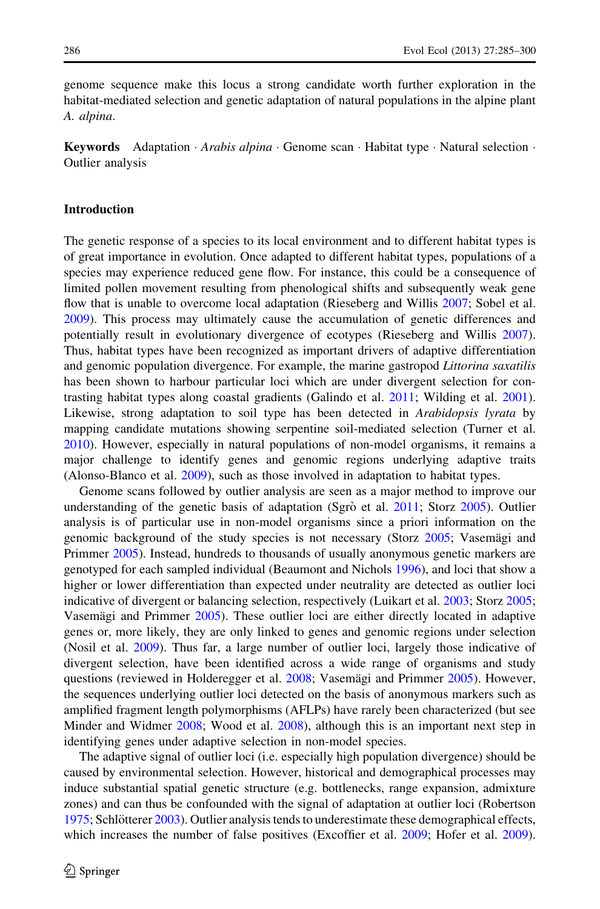genome sequence make this locus a strong candidate worth further exploration in the habitat-mediated selection and genetic adaptation of natural populations in the alpine plant A. alpina.

Keywords Adaptation · Arabis alpina · Genome scan · Habitat type · Natural selection · Outlier analysis

#### Introduction

The genetic response of a species to its local environment and to different habitat types is of great importance in evolution. Once adapted to different habitat types, populations of a species may experience reduced gene flow. For instance, this could be a consequence of limited pollen movement resulting from phenological shifts and subsequently weak gene flow that is unable to overcome local adaptation (Rieseberg and Willis [2007](#page-15-0); Sobel et al. [2009\)](#page-16-0). This process may ultimately cause the accumulation of genetic differences and potentially result in evolutionary divergence of ecotypes (Rieseberg and Willis [2007](#page-15-0)). Thus, habitat types have been recognized as important drivers of adaptive differentiation and genomic population divergence. For example, the marine gastropod *Littorina saxatilis* has been shown to harbour particular loci which are under divergent selection for contrasting habitat types along coastal gradients (Galindo et al. [2011](#page-15-0); Wilding et al. [2001](#page-16-0)). Likewise, strong adaptation to soil type has been detected in Arabidopsis lyrata by mapping candidate mutations showing serpentine soil-mediated selection (Turner et al. [2010\)](#page-16-0). However, especially in natural populations of non-model organisms, it remains a major challenge to identify genes and genomic regions underlying adaptive traits (Alonso-Blanco et al. [2009\)](#page-14-0), such as those involved in adaptation to habitat types.

Genome scans followed by outlier analysis are seen as a major method to improve our understanding of the genetic basis of adaptation (Sgrò et al. [2011](#page-16-0); Storz [2005](#page-16-0)). Outlier analysis is of particular use in non-model organisms since a priori information on the genomic background of the study species is not necessary (Storz [2005](#page-16-0); Vasemagi and Primmer [2005\)](#page-16-0). Instead, hundreds to thousands of usually anonymous genetic markers are genotyped for each sampled individual (Beaumont and Nichols [1996\)](#page-14-0), and loci that show a higher or lower differentiation than expected under neutrality are detected as outlier loci indicative of divergent or balancing selection, respectively (Luikart et al. [2003;](#page-15-0) Storz [2005;](#page-16-0) Vasemagi and Primmer  $2005$ ). These outlier loci are either directly located in adaptive genes or, more likely, they are only linked to genes and genomic regions under selection (Nosil et al. [2009\)](#page-15-0). Thus far, a large number of outlier loci, largely those indicative of divergent selection, have been identified across a wide range of organisms and study questions (reviewed in Holderegger et al. [2008](#page-15-0); Vasemägi and Primmer [2005](#page-16-0)). However, the sequences underlying outlier loci detected on the basis of anonymous markers such as amplified fragment length polymorphisms (AFLPs) have rarely been characterized (but see Minder and Widmer [2008](#page-15-0); Wood et al. [2008](#page-16-0)), although this is an important next step in identifying genes under adaptive selection in non-model species.

The adaptive signal of outlier loci (i.e. especially high population divergence) should be caused by environmental selection. However, historical and demographical processes may induce substantial spatial genetic structure (e.g. bottlenecks, range expansion, admixture zones) and can thus be confounded with the signal of adaptation at outlier loci (Robertson [1975;](#page-15-0) Schlötterer [2003](#page-16-0)). Outlier analysis tends to underestimate these demographical effects, which increases the number of false positives (Excoffier et al. [2009](#page-15-0); Hofer et al. 2009).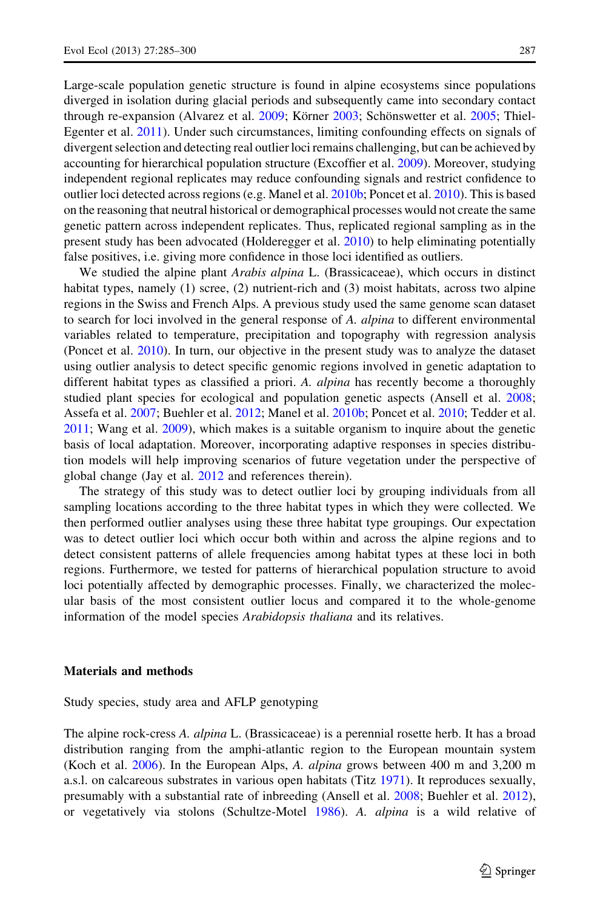Large-scale population genetic structure is found in alpine ecosystems since populations diverged in isolation during glacial periods and subsequently came into secondary contact through re-expansion (Alvarez et al. [2009;](#page-14-0) Körner [2003;](#page-15-0) Schönswetter et al. [2005;](#page-16-0) Thiel-Egenter et al. [2011](#page-16-0)). Under such circumstances, limiting confounding effects on signals of divergent selection and detecting real outlier loci remains challenging, but can be achieved by accounting for hierarchical population structure (Excoffier et al. [2009](#page-14-0)). Moreover, studying independent regional replicates may reduce confounding signals and restrict confidence to outlier loci detected across regions (e.g. Manel et al. [2010b](#page-15-0); Poncet et al. [2010\)](#page-15-0). This is based on the reasoning that neutral historical or demographical processes would not create the same genetic pattern across independent replicates. Thus, replicated regional sampling as in the present study has been advocated (Holderegger et al. [2010\)](#page-15-0) to help eliminating potentially false positives, i.e. giving more confidence in those loci identified as outliers.

We studied the alpine plant Arabis alpina L. (Brassicaceae), which occurs in distinct habitat types, namely (1) scree, (2) nutrient-rich and (3) moist habitats, across two alpine regions in the Swiss and French Alps. A previous study used the same genome scan dataset to search for loci involved in the general response of A. alpina to different environmental variables related to temperature, precipitation and topography with regression analysis (Poncet et al. [2010\)](#page-15-0). In turn, our objective in the present study was to analyze the dataset using outlier analysis to detect specific genomic regions involved in genetic adaptation to different habitat types as classified a priori. A. *alpina* has recently become a thoroughly studied plant species for ecological and population genetic aspects (Ansell et al. [2008;](#page-14-0) Assefa et al. [2007](#page-14-0); Buehler et al. [2012](#page-14-0); Manel et al. [2010b](#page-15-0); Poncet et al. [2010;](#page-15-0) Tedder et al. [2011;](#page-16-0) Wang et al. [2009\)](#page-16-0), which makes is a suitable organism to inquire about the genetic basis of local adaptation. Moreover, incorporating adaptive responses in species distribution models will help improving scenarios of future vegetation under the perspective of global change (Jay et al. [2012](#page-15-0) and references therein).

The strategy of this study was to detect outlier loci by grouping individuals from all sampling locations according to the three habitat types in which they were collected. We then performed outlier analyses using these three habitat type groupings. Our expectation was to detect outlier loci which occur both within and across the alpine regions and to detect consistent patterns of allele frequencies among habitat types at these loci in both regions. Furthermore, we tested for patterns of hierarchical population structure to avoid loci potentially affected by demographic processes. Finally, we characterized the molecular basis of the most consistent outlier locus and compared it to the whole-genome information of the model species Arabidopsis thaliana and its relatives.

#### Materials and methods

Study species, study area and AFLP genotyping

The alpine rock-cress A. *alpina* L. (Brassicaceae) is a perennial rosette herb. It has a broad distribution ranging from the amphi-atlantic region to the European mountain system (Koch et al. [2006\)](#page-15-0). In the European Alps, A. alpina grows between 400 m and 3,200 m a.s.l. on calcareous substrates in various open habitats (Titz [1971](#page-16-0)). It reproduces sexually, presumably with a substantial rate of inbreeding (Ansell et al. [2008;](#page-14-0) Buehler et al. [2012](#page-14-0)), or vegetatively via stolons (Schultze-Motel [1986\)](#page-16-0). A. alpina is a wild relative of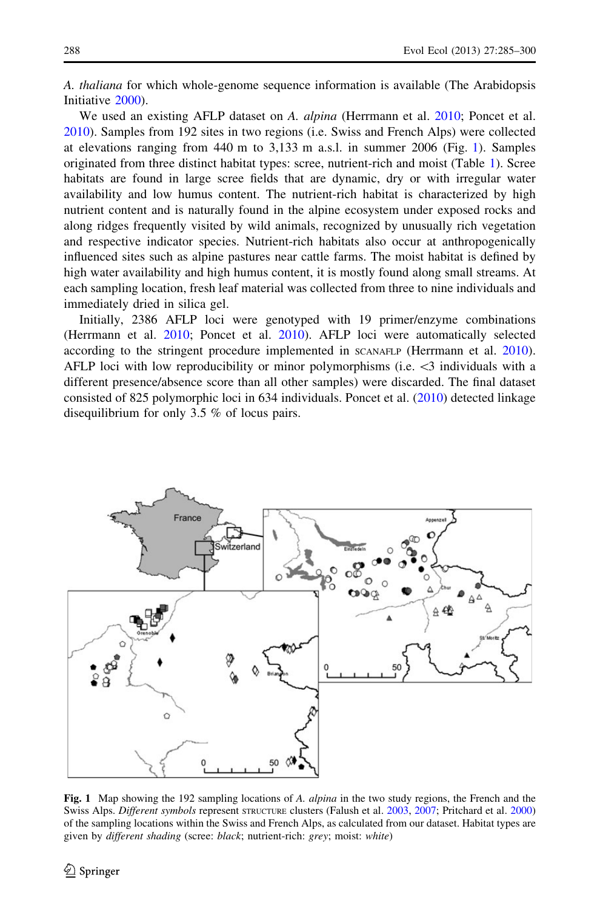<span id="page-4-0"></span>A. thaliana for which whole-genome sequence information is available (The Arabidopsis Initiative [2000](#page-16-0)).

We used an existing AFLP dataset on A. alpina (Herrmann et al. [2010](#page-15-0); Poncet et al. [2010\)](#page-15-0). Samples from 192 sites in two regions (i.e. Swiss and French Alps) were collected at elevations ranging from 440 m to 3,133 m a.s.l. in summer 2006 (Fig. 1). Samples originated from three distinct habitat types: scree, nutrient-rich and moist (Table [1](#page-5-0)). Scree habitats are found in large scree fields that are dynamic, dry or with irregular water availability and low humus content. The nutrient-rich habitat is characterized by high nutrient content and is naturally found in the alpine ecosystem under exposed rocks and along ridges frequently visited by wild animals, recognized by unusually rich vegetation and respective indicator species. Nutrient-rich habitats also occur at anthropogenically influenced sites such as alpine pastures near cattle farms. The moist habitat is defined by high water availability and high humus content, it is mostly found along small streams. At each sampling location, fresh leaf material was collected from three to nine individuals and immediately dried in silica gel.

Initially, 2386 AFLP loci were genotyped with 19 primer/enzyme combinations (Herrmann et al. [2010;](#page-15-0) Poncet et al. [2010](#page-15-0)). AFLP loci were automatically selected according to the stringent procedure implemented in SCANAFLP (Herrmann et al. [2010](#page-15-0)). AFLP loci with low reproducibility or minor polymorphisms (i.e.  $\lt$ 3 individuals with a different presence/absence score than all other samples) were discarded. The final dataset consisted of 825 polymorphic loci in 634 individuals. Poncet et al. ([2010\)](#page-15-0) detected linkage disequilibrium for only 3.5 % of locus pairs.



Fig. 1 Map showing the 192 sampling locations of A. alpina in the two study regions, the French and the Swiss Alps. Different symbols represent structure clusters (Falush et al. [2003](#page-14-0), [2007;](#page-14-0) Pritchard et al. [2000\)](#page-15-0) of the sampling locations within the Swiss and French Alps, as calculated from our dataset. Habitat types are given by different shading (scree: black; nutrient-rich: grey; moist: white)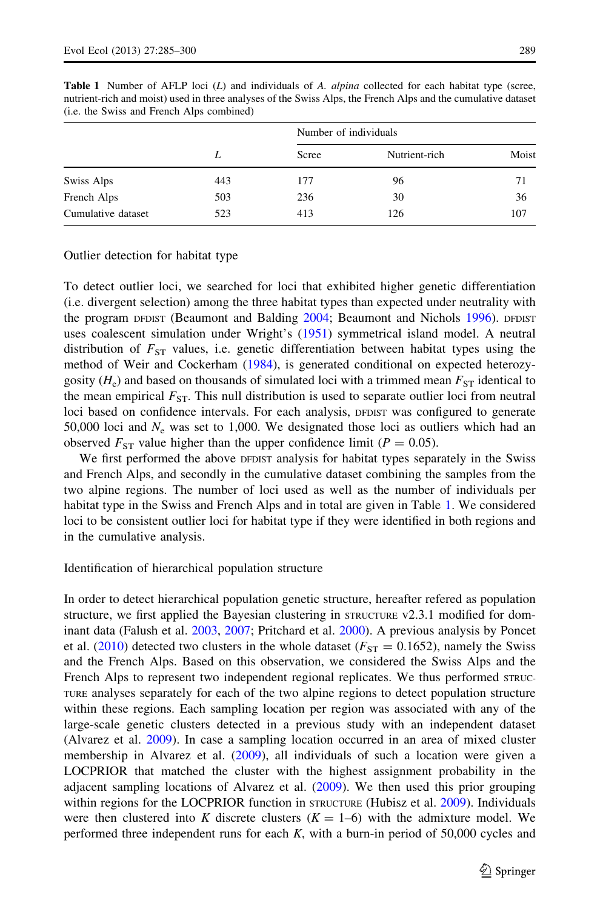|                    | L   | Number of individuals |               |       |  |  |
|--------------------|-----|-----------------------|---------------|-------|--|--|
|                    |     | Scree                 | Nutrient-rich | Moist |  |  |
| Swiss Alps         | 443 | 177                   | 96            | 71    |  |  |
| French Alps        | 503 | 236                   | 30            | 36    |  |  |
| Cumulative dataset | 523 | 413                   | 126           | 107   |  |  |

<span id="page-5-0"></span>Table 1 Number of AFLP loci (L) and individuals of A. alpina collected for each habitat type (scree, nutrient-rich and moist) used in three analyses of the Swiss Alps, the French Alps and the cumulative dataset (i.e. the Swiss and French Alps combined)

Outlier detection for habitat type

To detect outlier loci, we searched for loci that exhibited higher genetic differentiation (i.e. divergent selection) among the three habitat types than expected under neutrality with the program DFDIST (Beaumont and Balding [2004](#page-14-0); Beaumont and Nichols [1996](#page-14-0)). DFDIST uses coalescent simulation under Wright's [\(1951](#page-16-0)) symmetrical island model. A neutral distribution of  $F_{ST}$  values, i.e. genetic differentiation between habitat types using the method of Weir and Cockerham [\(1984\)](#page-16-0), is generated conditional on expected heterozygosity  $(H_e)$  and based on thousands of simulated loci with a trimmed mean  $F_{ST}$  identical to the mean empirical  $F_{ST}$ . This null distribution is used to separate outlier loci from neutral loci based on confidence intervals. For each analysis, DFDIST was configured to generate 50,000 loci and  $N_e$  was set to 1,000. We designated those loci as outliers which had an observed  $F_{ST}$  value higher than the upper confidence limit ( $P = 0.05$ ).

We first performed the above DFDIST analysis for habitat types separately in the Swiss and French Alps, and secondly in the cumulative dataset combining the samples from the two alpine regions. The number of loci used as well as the number of individuals per habitat type in the Swiss and French Alps and in total are given in Table 1. We considered loci to be consistent outlier loci for habitat type if they were identified in both regions and in the cumulative analysis.

Identification of hierarchical population structure

In order to detect hierarchical population genetic structure, hereafter refered as population structure, we first applied the Bayesian clustering in STRUCTURE v2.3.1 modified for dominant data (Falush et al. [2003](#page-14-0), [2007;](#page-14-0) Pritchard et al. [2000\)](#page-15-0). A previous analysis by Poncet et al. ([2010\)](#page-15-0) detected two clusters in the whole dataset ( $F_{ST} = 0.1652$ ), namely the Swiss and the French Alps. Based on this observation, we considered the Swiss Alps and the French Alps to represent two independent regional replicates. We thus performed  $srRUC-$ TURE analyses separately for each of the two alpine regions to detect population structure within these regions. Each sampling location per region was associated with any of the large-scale genetic clusters detected in a previous study with an independent dataset (Alvarez et al. [2009](#page-14-0)). In case a sampling location occurred in an area of mixed cluster membership in Alvarez et al. ([2009\)](#page-14-0), all individuals of such a location were given a LOCPRIOR that matched the cluster with the highest assignment probability in the adjacent sampling locations of Alvarez et al. ([2009\)](#page-14-0). We then used this prior grouping within regions for the LOCPRIOR function in STRUCTURE (Hubisz et al. [2009\)](#page-15-0). Individuals were then clustered into K discrete clusters  $(K = 1-6)$  with the admixture model. We performed three independent runs for each  $K$ , with a burn-in period of 50,000 cycles and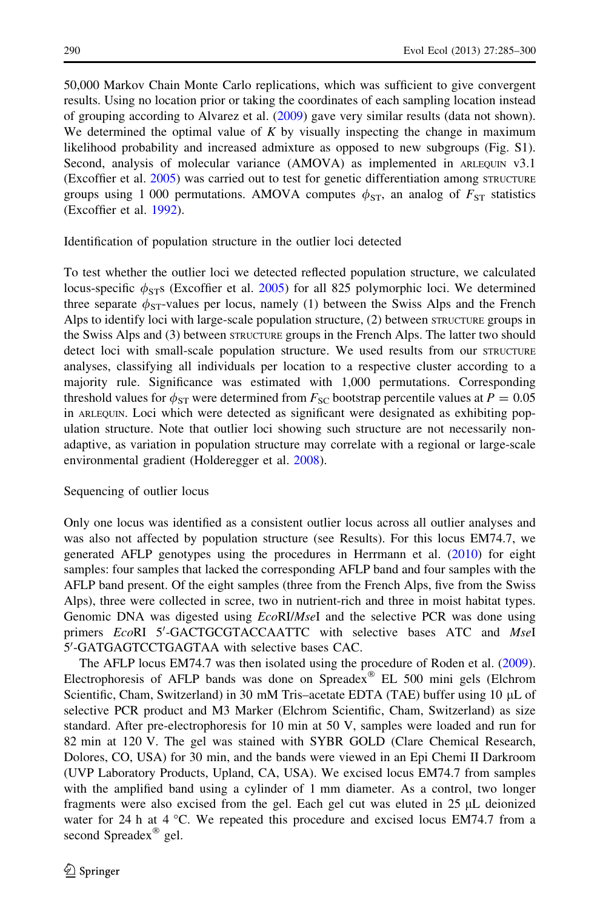50,000 Markov Chain Monte Carlo replications, which was sufficient to give convergent results. Using no location prior or taking the coordinates of each sampling location instead of grouping according to Alvarez et al. [\(2009](#page-14-0)) gave very similar results (data not shown). We determined the optimal value of  $K$  by visually inspecting the change in maximum likelihood probability and increased admixture as opposed to new subgroups (Fig. S1). Second, analysis of molecular variance (AMOVA) as implemented in ARLEQUIN v3.1 (Excoffier et al. [2005](#page-14-0)) was carried out to test for genetic differentiation among STRUCTURE groups using 1 000 permutations. AMOVA computes  $\phi_{ST}$ , an analog of  $F_{ST}$  statistics (Excoffier et al. [1992\)](#page-14-0).

Identification of population structure in the outlier loci detected

To test whether the outlier loci we detected reflected population structure, we calculated locus-specific  $\phi_{ST}$ s (Excoffier et al. [2005\)](#page-14-0) for all 825 polymorphic loci. We determined three separate  $\phi_{ST}$ -values per locus, namely (1) between the Swiss Alps and the French Alps to identify loci with large-scale population structure, (2) between structure groups in the Swiss Alps and (3) between STRUCTURE groups in the French Alps. The latter two should detect loci with small-scale population structure. We used results from our STRUCTURE analyses, classifying all individuals per location to a respective cluster according to a majority rule. Significance was estimated with 1,000 permutations. Corresponding threshold values for  $\phi_{ST}$  were determined from  $F_{SC}$  bootstrap percentile values at  $P = 0.05$ in ARLEQUIN. Loci which were detected as significant were designated as exhibiting population structure. Note that outlier loci showing such structure are not necessarily nonadaptive, as variation in population structure may correlate with a regional or large-scale environmental gradient (Holderegger et al. [2008](#page-15-0)).

#### Sequencing of outlier locus

Only one locus was identified as a consistent outlier locus across all outlier analyses and was also not affected by population structure (see Results). For this locus EM74.7, we generated AFLP genotypes using the procedures in Herrmann et al. [\(2010\)](#page-15-0) for eight samples: four samples that lacked the corresponding AFLP band and four samples with the AFLP band present. Of the eight samples (three from the French Alps, five from the Swiss Alps), three were collected in scree, two in nutrient-rich and three in moist habitat types. Genomic DNA was digested using *EcoRI/MseI* and the selective PCR was done using primers EcoRI 5'-GACTGCGTACCAATTC with selective bases ATC and Msel 5'-GATGAGTCCTGAGTAA with selective bases CAC.

The AFLP locus EM74.7 was then isolated using the procedure of Roden et al. [\(2009](#page-16-0)). Electrophoresis of AFLP bands was done on Spreadex $^{\circledR}$  EL 500 mini gels (Elchrom Scientific, Cham, Switzerland) in 30 mM Tris-acetate EDTA (TAE) buffer using 10 µL of selective PCR product and M3 Marker (Elchrom Scientific, Cham, Switzerland) as size standard. After pre-electrophoresis for 10 min at 50 V, samples were loaded and run for 82 min at 120 V. The gel was stained with SYBR GOLD (Clare Chemical Research, Dolores, CO, USA) for 30 min, and the bands were viewed in an Epi Chemi II Darkroom (UVP Laboratory Products, Upland, CA, USA). We excised locus EM74.7 from samples with the amplified band using a cylinder of 1 mm diameter. As a control, two longer fragments were also excised from the gel. Each gel cut was eluted in  $25 \mu L$  deionized water for 24 h at  $4^{\circ}$ C. We repeated this procedure and excised locus EM74.7 from a second Spreadex<sup>®</sup> gel.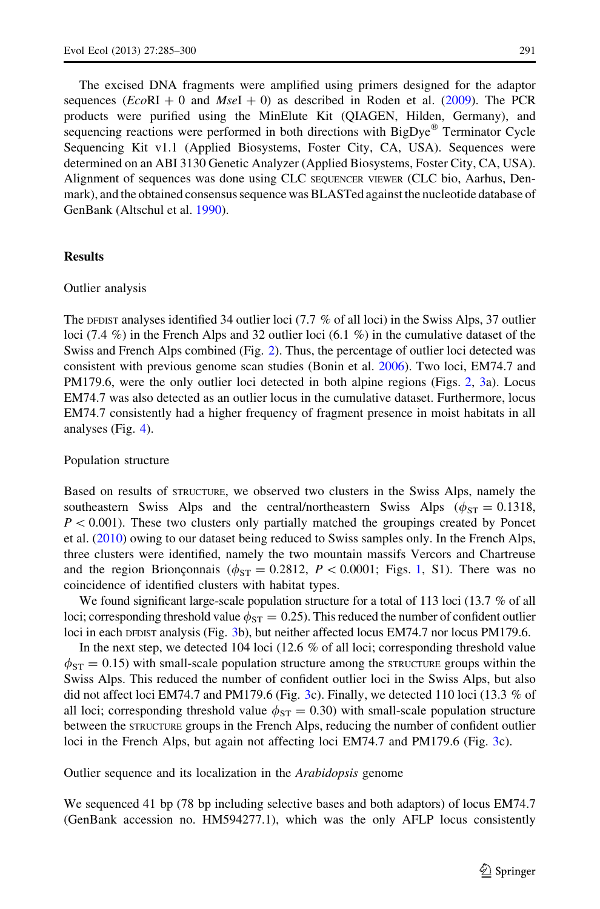The excised DNA fragments were amplified using primers designed for the adaptor sequences  $(EcoRI + 0$  and  $MseI + 0)$  as described in Roden et al. [\(2009](#page-16-0)). The PCR products were purified using the MinElute Kit (QIAGEN, Hilden, Germany), and sequencing reactions were performed in both directions with BigDye® Terminator Cycle Sequencing Kit v1.1 (Applied Biosystems, Foster City, CA, USA). Sequences were determined on an ABI 3130 Genetic Analyzer (Applied Biosystems, Foster City, CA, USA). Alignment of sequences was done using CLC SEQUENCER VIEWER (CLC bio, Aarhus, Denmark), and the obtained consensus sequence was BLASTed against the nucleotide database of GenBank (Altschul et al. [1990](#page-14-0)).

#### **Results**

#### Outlier analysis

The DFDIST analyses identified 34 outlier loci (7.7 % of all loci) in the Swiss Alps, 37 outlier loci (7.4 %) in the French Alps and 32 outlier loci (6.1 %) in the cumulative dataset of the Swiss and French Alps combined (Fig. [2](#page-8-0)). Thus, the percentage of outlier loci detected was consistent with previous genome scan studies (Bonin et al. [2006](#page-14-0)). Two loci, EM74.7 and PM179.6, were the only outlier loci detected in both alpine regions (Figs. [2,](#page-8-0) [3](#page-9-0)a). Locus EM74.7 was also detected as an outlier locus in the cumulative dataset. Furthermore, locus EM74.7 consistently had a higher frequency of fragment presence in moist habitats in all analyses (Fig. [4](#page-9-0)).

Population structure

Based on results of STRUCTURE, we observed two clusters in the Swiss Alps, namely the southeastern Swiss Alps and the central/northeastern Swiss Alps ( $\phi_{ST} = 0.1318$ ,  $P<0.001$ ). These two clusters only partially matched the groupings created by Poncet et al. ([2010\)](#page-15-0) owing to our dataset being reduced to Swiss samples only. In the French Alps, three clusters were identified, namely the two mountain massifs Vercors and Chartreuse and the region Brionconnais ( $\phi_{ST} = 0.2812$  $\phi_{ST} = 0.2812$  $\phi_{ST} = 0.2812$ ,  $P \lt 0.0001$ ; Figs. 1, S1). There was no coincidence of identified clusters with habitat types.

We found significant large-scale population structure for a total of 113 loci (13.7 % of all loci; corresponding threshold value  $\phi_{ST} = 0.25$ ). This reduced the number of confident outlier loci in each DFDIST analysis (Fig. [3b](#page-9-0)), but neither affected locus EM74.7 nor locus PM179.6.

In the next step, we detected 104 loci (12.6 % of all loci; corresponding threshold value  $\phi_{ST} = 0.15$ ) with small-scale population structure among the structure groups within the Swiss Alps. This reduced the number of confident outlier loci in the Swiss Alps, but also did not affect loci EM74.7 and PM179.6 (Fig. [3](#page-9-0)c). Finally, we detected 110 loci (13.3 % of all loci; corresponding threshold value  $\phi_{ST} = 0.30$ ) with small-scale population structure between the STRUCTURE groups in the French Alps, reducing the number of confident outlier loci in the French Alps, but again not affecting loci EM74.7 and PM179.6 (Fig. [3c](#page-9-0)).

Outlier sequence and its localization in the Arabidopsis genome

We sequenced 41 bp (78 bp including selective bases and both adaptors) of locus EM74.7 (GenBank accession no. HM594277.1), which was the only AFLP locus consistently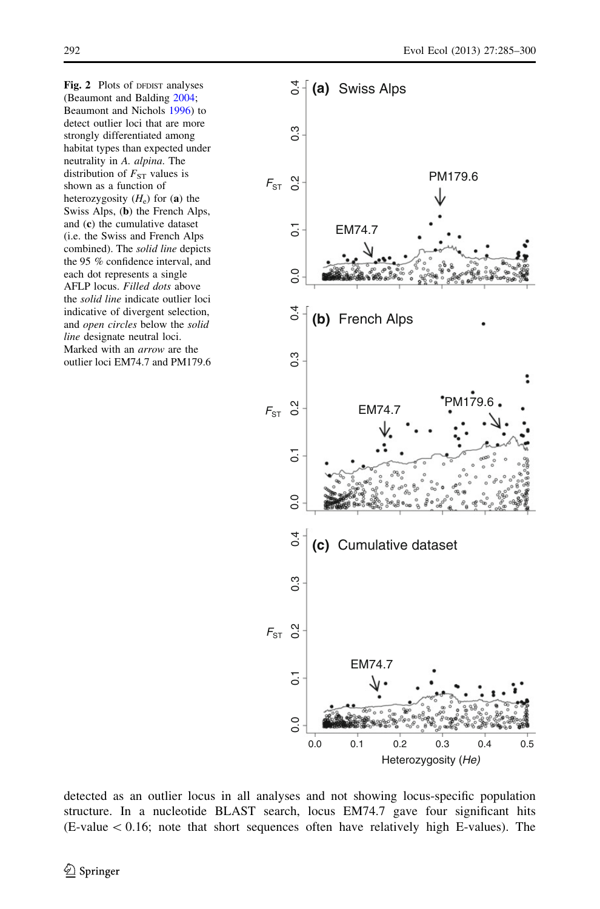<span id="page-8-0"></span>Fig. 2 Plots of DFDIST analyses (Beaumont and Balding [2004;](#page-14-0) Beaumont and Nichols [1996\)](#page-14-0) to detect outlier loci that are more strongly differentiated among habitat types than expected under neutrality in A. alpina. The distribution of  $F_{ST}$  values is shown as a function of heterozygosity  $(H_e)$  for (a) the Swiss Alps, (b) the French Alps, and (c) the cumulative dataset (i.e. the Swiss and French Alps combined). The solid line depicts the 95 % confidence interval, and each dot represents a single AFLP locus. Filled dots above the solid line indicate outlier loci indicative of divergent selection, and open circles below the solid line designate neutral loci. Marked with an arrow are the outlier loci EM74.7 and PM179.6



detected as an outlier locus in all analyses and not showing locus-specific population structure. In a nucleotide BLAST search, locus EM74.7 gave four significant hits  $(E-value < 0.16$ ; note that short sequences often have relatively high E-values). The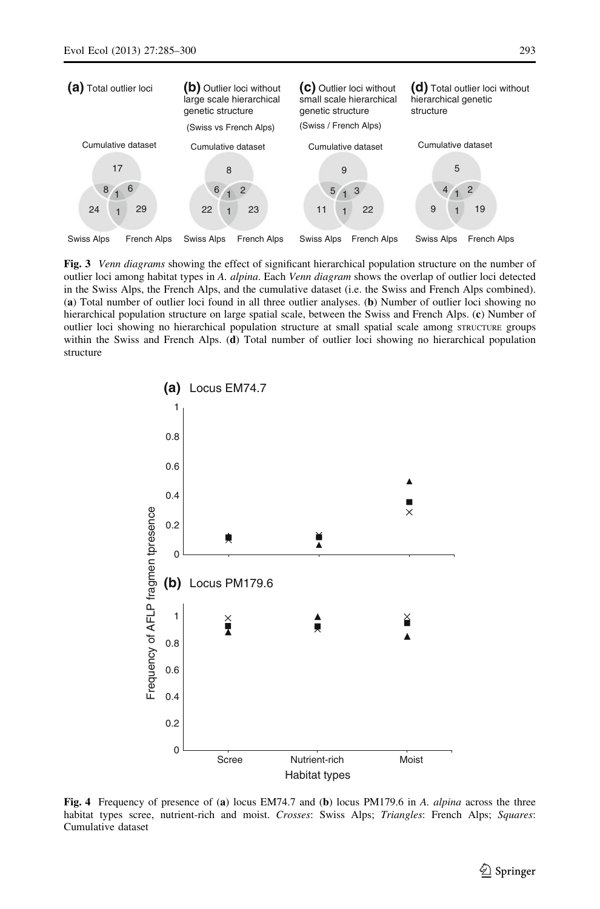<span id="page-9-0"></span>

Fig. 3 Venn diagrams showing the effect of significant hierarchical population structure on the number of outlier loci among habitat types in A. alpina. Each Venn diagram shows the overlap of outlier loci detected in the Swiss Alps, the French Alps, and the cumulative dataset (i.e. the Swiss and French Alps combined). (a) Total number of outlier loci found in all three outlier analyses. (b) Number of outlier loci showing no hierarchical population structure on large spatial scale, between the Swiss and French Alps. (c) Number of outlier loci showing no hierarchical population structure at small spatial scale among STRUCTURE groups within the Swiss and French Alps. (d) Total number of outlier loci showing no hierarchical population structure



Fig. 4 Frequency of presence of (a) locus EM74.7 and (b) locus PM179.6 in A. alpina across the three habitat types scree, nutrient-rich and moist. Crosses: Swiss Alps; Triangles: French Alps; Squares: Cumulative dataset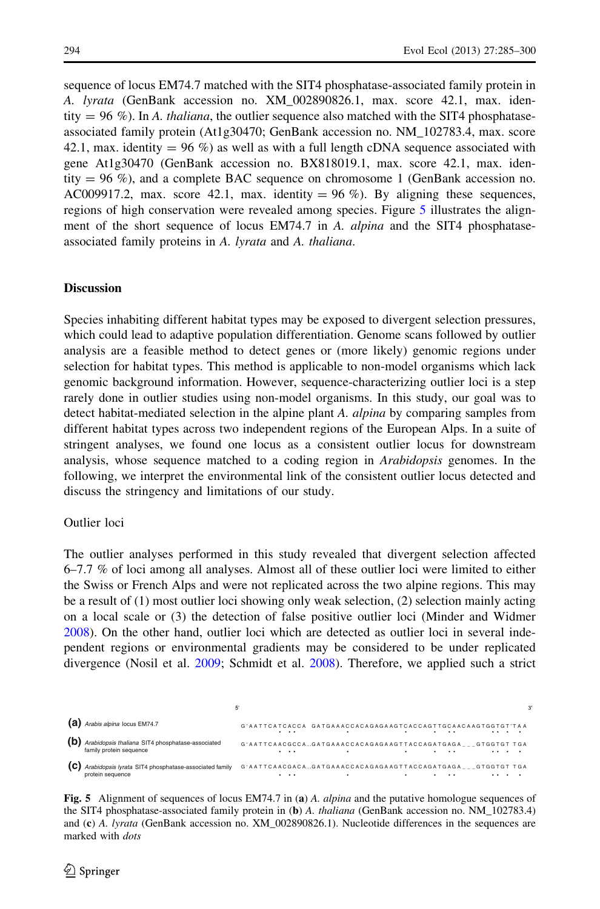sequence of locus EM74.7 matched with the SIT4 phosphatase-associated family protein in A. lyrata (GenBank accession no. XM\_002890826.1, max. score 42.1, max. identity =  $96\%$ ). In A. thaliana, the outlier sequence also matched with the SIT4 phosphataseassociated family protein (At1g30470; GenBank accession no. NM\_102783.4, max. score 42.1, max. identity  $= 96\%$ ) as well as with a full length cDNA sequence associated with gene At1g30470 (GenBank accession no. BX818019.1, max. score 42.1, max. identity  $= 96 \%$ ), and a complete BAC sequence on chromosome 1 (GenBank accession no. AC009917.2, max. score 42.1, max. identity  $= 96 \%$ ). By aligning these sequences, regions of high conservation were revealed among species. Figure 5 illustrates the alignment of the short sequence of locus EM74.7 in A. alpina and the SIT4 phosphataseassociated family proteins in A. lyrata and A. thaliana.

#### **Discussion**

Species inhabiting different habitat types may be exposed to divergent selection pressures, which could lead to adaptive population differentiation. Genome scans followed by outlier analysis are a feasible method to detect genes or (more likely) genomic regions under selection for habitat types. This method is applicable to non-model organisms which lack genomic background information. However, sequence-characterizing outlier loci is a step rarely done in outlier studies using non-model organisms. In this study, our goal was to detect habitat-mediated selection in the alpine plant A. *alpina* by comparing samples from different habitat types across two independent regions of the European Alps. In a suite of stringent analyses, we found one locus as a consistent outlier locus for downstream analysis, whose sequence matched to a coding region in Arabidopsis genomes. In the following, we interpret the environmental link of the consistent outlier locus detected and discuss the stringency and limitations of our study.

#### Outlier loci

The outlier analyses performed in this study revealed that divergent selection affected 6–7.7 % of loci among all analyses. Almost all of these outlier loci were limited to either the Swiss or French Alps and were not replicated across the two alpine regions. This may be a result of (1) most outlier loci showing only weak selection, (2) selection mainly acting on a local scale or (3) the detection of false positive outlier loci (Minder and Widmer [2008\)](#page-15-0). On the other hand, outlier loci which are detected as outlier loci in several independent regions or environmental gradients may be considered to be under replicated divergence (Nosil et al. [2009;](#page-15-0) Schmidt et al. [2008\)](#page-16-0). Therefore, we applied such a strict

|     |                                                                             |          |                                                              |   |                      | 3' |
|-----|-----------------------------------------------------------------------------|----------|--------------------------------------------------------------|---|----------------------|----|
|     | (a) Arabis alpina locus EM74.7                                              | $\cdots$ | G'AATTCATCACCA GATGAAACCACAGAGAAGTCACCAGTTGCAACAAGTGGTGT'TAA |   |                      |    |
|     | Arabidopsis thaliana SIT4 phosphatase-associated<br>family protein sequence | $\cdots$ | G'AATTCAACGCCAGATGAAACCACAGAGAAGTTACCAGATGAGA GTGGTGT TGA    |   | $\ddot{\phantom{1}}$ |    |
| (C) | Arabidopsis lyrata SIT4 phosphatase-associated family<br>protein sequence   |          | G'AATTCAACGACAGATGAAACCACAGAGAAGTTACCAGATGAGA___GTGGTGT TGA  | ٠ |                      |    |

Fig. 5 Alignment of sequences of locus EM74.7 in (a) A. *alpina* and the putative homologue sequences of the SIT4 phosphatase-associated family protein in (b) A. thaliana (GenBank accession no. NM\_102783.4) and (c) A. lyrata (GenBank accession no. XM\_002890826.1). Nucleotide differences in the sequences are marked with dots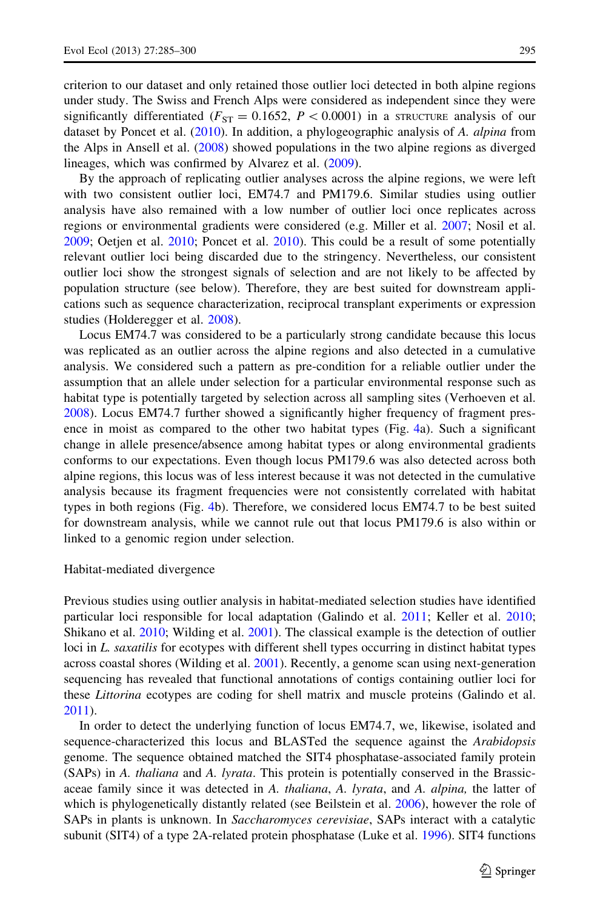criterion to our dataset and only retained those outlier loci detected in both alpine regions under study. The Swiss and French Alps were considered as independent since they were significantly differentiated ( $F_{ST} = 0.1652$ ,  $P \lt 0.0001$ ) in a STRUCTURE analysis of our dataset by Poncet et al. ([2010\)](#page-15-0). In addition, a phylogeographic analysis of A. *alpina* from the Alps in Ansell et al. [\(2008](#page-14-0)) showed populations in the two alpine regions as diverged lineages, which was confirmed by Alvarez et al. ([2009\)](#page-14-0).

By the approach of replicating outlier analyses across the alpine regions, we were left with two consistent outlier loci, EM74.7 and PM179.6. Similar studies using outlier analysis have also remained with a low number of outlier loci once replicates across regions or environmental gradients were considered (e.g. Miller et al. [2007;](#page-15-0) Nosil et al. [2009;](#page-15-0) Oetjen et al. [2010](#page-15-0); Poncet et al. [2010](#page-15-0)). This could be a result of some potentially relevant outlier loci being discarded due to the stringency. Nevertheless, our consistent outlier loci show the strongest signals of selection and are not likely to be affected by population structure (see below). Therefore, they are best suited for downstream applications such as sequence characterization, reciprocal transplant experiments or expression studies (Holderegger et al. [2008](#page-15-0)).

Locus EM74.7 was considered to be a particularly strong candidate because this locus was replicated as an outlier across the alpine regions and also detected in a cumulative analysis. We considered such a pattern as pre-condition for a reliable outlier under the assumption that an allele under selection for a particular environmental response such as habitat type is potentially targeted by selection across all sampling sites (Verhoeven et al. [2008\)](#page-16-0). Locus EM74.7 further showed a significantly higher frequency of fragment presence in moist as compared to the other two habitat types (Fig. [4a](#page-9-0)). Such a significant change in allele presence/absence among habitat types or along environmental gradients conforms to our expectations. Even though locus PM179.6 was also detected across both alpine regions, this locus was of less interest because it was not detected in the cumulative analysis because its fragment frequencies were not consistently correlated with habitat types in both regions (Fig. [4](#page-9-0)b). Therefore, we considered locus EM74.7 to be best suited for downstream analysis, while we cannot rule out that locus PM179.6 is also within or linked to a genomic region under selection.

#### Habitat-mediated divergence

Previous studies using outlier analysis in habitat-mediated selection studies have identified particular loci responsible for local adaptation (Galindo et al. [2011](#page-15-0); Keller et al. [2010;](#page-15-0) Shikano et al. [2010;](#page-16-0) Wilding et al. [2001\)](#page-16-0). The classical example is the detection of outlier loci in L. saxatilis for ecotypes with different shell types occurring in distinct habitat types across coastal shores (Wilding et al. [2001](#page-16-0)). Recently, a genome scan using next-generation sequencing has revealed that functional annotations of contigs containing outlier loci for these Littorina ecotypes are coding for shell matrix and muscle proteins (Galindo et al. [2011\)](#page-15-0).

In order to detect the underlying function of locus EM74.7, we, likewise, isolated and sequence-characterized this locus and BLASTed the sequence against the Arabidopsis genome. The sequence obtained matched the SIT4 phosphatase-associated family protein (SAPs) in A. thaliana and A. lyrata. This protein is potentially conserved in the Brassicaceae family since it was detected in A. thaliana, A. lyrata, and A. alpina, the latter of which is phylogenetically distantly related (see Beilstein et al. [2006\)](#page-14-0), however the role of SAPs in plants is unknown. In Saccharomyces cerevisiae, SAPs interact with a catalytic subunit (SIT4) of a type 2A-related protein phosphatase (Luke et al. [1996\)](#page-15-0). SIT4 functions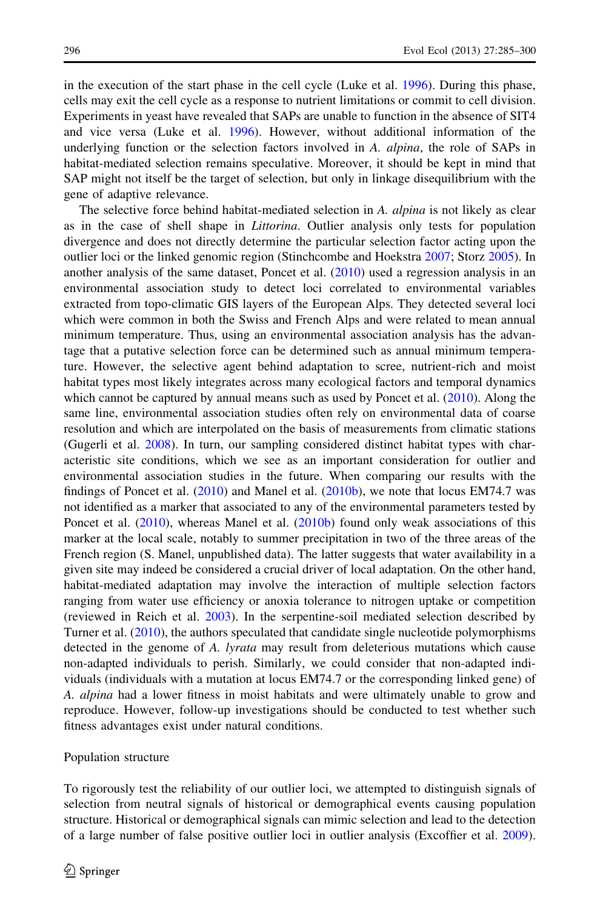in the execution of the start phase in the cell cycle (Luke et al. [1996\)](#page-15-0). During this phase, cells may exit the cell cycle as a response to nutrient limitations or commit to cell division. Experiments in yeast have revealed that SAPs are unable to function in the absence of SIT4 and vice versa (Luke et al. [1996](#page-15-0)). However, without additional information of the underlying function or the selection factors involved in A. *alpina*, the role of SAPs in habitat-mediated selection remains speculative. Moreover, it should be kept in mind that SAP might not itself be the target of selection, but only in linkage disequilibrium with the gene of adaptive relevance.

The selective force behind habitat-mediated selection in A. alpina is not likely as clear as in the case of shell shape in Littorina. Outlier analysis only tests for population divergence and does not directly determine the particular selection factor acting upon the outlier loci or the linked genomic region (Stinchcombe and Hoekstra [2007](#page-16-0); Storz [2005\)](#page-16-0). In another analysis of the same dataset, Poncet et al. [\(2010](#page-15-0)) used a regression analysis in an environmental association study to detect loci correlated to environmental variables extracted from topo-climatic GIS layers of the European Alps. They detected several loci which were common in both the Swiss and French Alps and were related to mean annual minimum temperature. Thus, using an environmental association analysis has the advantage that a putative selection force can be determined such as annual minimum temperature. However, the selective agent behind adaptation to scree, nutrient-rich and moist habitat types most likely integrates across many ecological factors and temporal dynamics which cannot be captured by annual means such as used by Poncet et al.  $(2010)$  $(2010)$ . Along the same line, environmental association studies often rely on environmental data of coarse resolution and which are interpolated on the basis of measurements from climatic stations (Gugerli et al. [2008](#page-15-0)). In turn, our sampling considered distinct habitat types with characteristic site conditions, which we see as an important consideration for outlier and environmental association studies in the future. When comparing our results with the findings of Poncet et al.  $(2010)$  $(2010)$  and Manel et al.  $(2010b)$  $(2010b)$  $(2010b)$ , we note that locus EM74.7 was not identified as a marker that associated to any of the environmental parameters tested by Poncet et al. [\(2010](#page-15-0)), whereas Manel et al. ([2010b](#page-15-0)) found only weak associations of this marker at the local scale, notably to summer precipitation in two of the three areas of the French region (S. Manel, unpublished data). The latter suggests that water availability in a given site may indeed be considered a crucial driver of local adaptation. On the other hand, habitat-mediated adaptation may involve the interaction of multiple selection factors ranging from water use efficiency or anoxia tolerance to nitrogen uptake or competition (reviewed in Reich et al. [2003](#page-15-0)). In the serpentine-soil mediated selection described by Turner et al. ([2010\)](#page-16-0), the authors speculated that candidate single nucleotide polymorphisms detected in the genome of A. *lyrata* may result from deleterious mutations which cause non-adapted individuals to perish. Similarly, we could consider that non-adapted individuals (individuals with a mutation at locus EM74.7 or the corresponding linked gene) of A. alpina had a lower fitness in moist habitats and were ultimately unable to grow and reproduce. However, follow-up investigations should be conducted to test whether such fitness advantages exist under natural conditions.

#### Population structure

To rigorously test the reliability of our outlier loci, we attempted to distinguish signals of selection from neutral signals of historical or demographical events causing population structure. Historical or demographical signals can mimic selection and lead to the detection of a large number of false positive outlier loci in outlier analysis (Excoffier et al. [2009](#page-14-0)).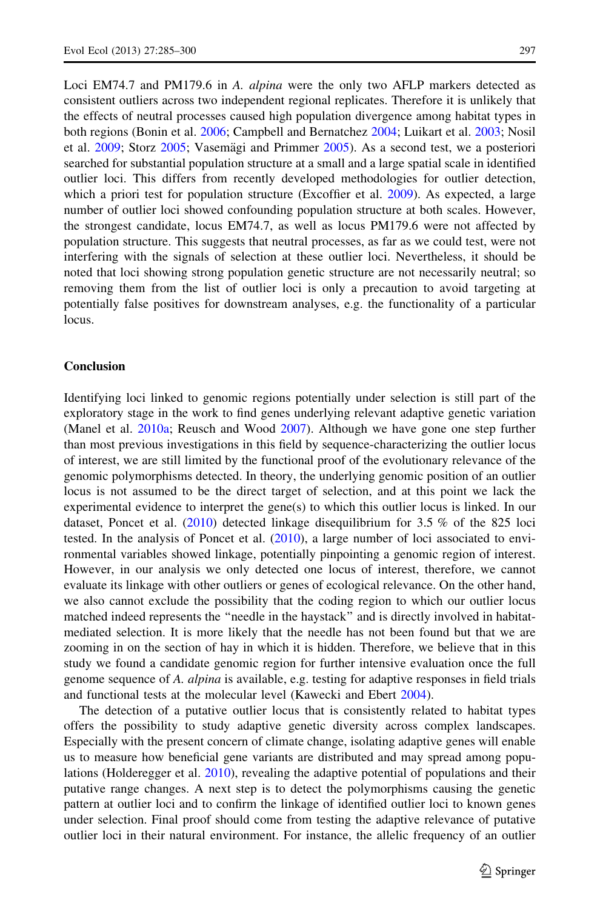Loci EM74.7 and PM179.6 in A. *alpina* were the only two AFLP markers detected as consistent outliers across two independent regional replicates. Therefore it is unlikely that the effects of neutral processes caused high population divergence among habitat types in both regions (Bonin et al. [2006;](#page-14-0) Campbell and Bernatchez [2004;](#page-14-0) Luikart et al. [2003;](#page-15-0) Nosil et al.  $2009$ ; Storz  $2005$ ; Vasemägi and Primmer  $2005$ ). As a second test, we a posteriori searched for substantial population structure at a small and a large spatial scale in identified outlier loci. This differs from recently developed methodologies for outlier detection, which a priori test for population structure (Excoffier et al. [2009\)](#page-14-0). As expected, a large number of outlier loci showed confounding population structure at both scales. However, the strongest candidate, locus EM74.7, as well as locus PM179.6 were not affected by population structure. This suggests that neutral processes, as far as we could test, were not interfering with the signals of selection at these outlier loci. Nevertheless, it should be noted that loci showing strong population genetic structure are not necessarily neutral; so removing them from the list of outlier loci is only a precaution to avoid targeting at potentially false positives for downstream analyses, e.g. the functionality of a particular locus.

#### Conclusion

Identifying loci linked to genomic regions potentially under selection is still part of the exploratory stage in the work to find genes underlying relevant adaptive genetic variation (Manel et al. [2010a](#page-15-0); Reusch and Wood [2007](#page-15-0)). Although we have gone one step further than most previous investigations in this field by sequence-characterizing the outlier locus of interest, we are still limited by the functional proof of the evolutionary relevance of the genomic polymorphisms detected. In theory, the underlying genomic position of an outlier locus is not assumed to be the direct target of selection, and at this point we lack the experimental evidence to interpret the gene(s) to which this outlier locus is linked. In our dataset, Poncet et al.  $(2010)$  $(2010)$  detected linkage disequilibrium for 3.5 % of the 825 loci tested. In the analysis of Poncet et al. [\(2010](#page-15-0)), a large number of loci associated to environmental variables showed linkage, potentially pinpointing a genomic region of interest. However, in our analysis we only detected one locus of interest, therefore, we cannot evaluate its linkage with other outliers or genes of ecological relevance. On the other hand, we also cannot exclude the possibility that the coding region to which our outlier locus matched indeed represents the ''needle in the haystack'' and is directly involved in habitatmediated selection. It is more likely that the needle has not been found but that we are zooming in on the section of hay in which it is hidden. Therefore, we believe that in this study we found a candidate genomic region for further intensive evaluation once the full genome sequence of A. alpina is available, e.g. testing for adaptive responses in field trials and functional tests at the molecular level (Kawecki and Ebert [2004\)](#page-15-0).

The detection of a putative outlier locus that is consistently related to habitat types offers the possibility to study adaptive genetic diversity across complex landscapes. Especially with the present concern of climate change, isolating adaptive genes will enable us to measure how beneficial gene variants are distributed and may spread among populations (Holderegger et al. [2010\)](#page-15-0), revealing the adaptive potential of populations and their putative range changes. A next step is to detect the polymorphisms causing the genetic pattern at outlier loci and to confirm the linkage of identified outlier loci to known genes under selection. Final proof should come from testing the adaptive relevance of putative outlier loci in their natural environment. For instance, the allelic frequency of an outlier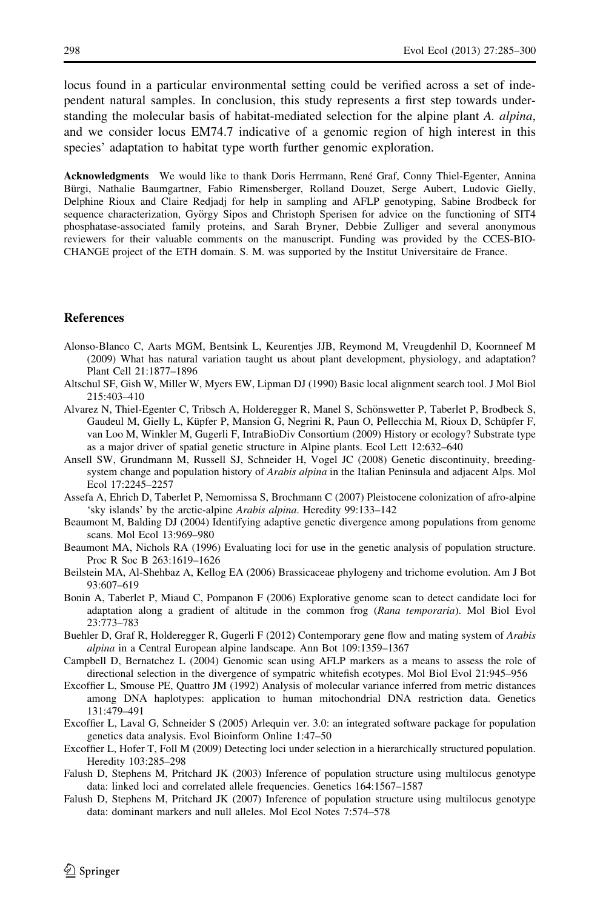<span id="page-14-0"></span>locus found in a particular environmental setting could be verified across a set of independent natural samples. In conclusion, this study represents a first step towards understanding the molecular basis of habitat-mediated selection for the alpine plant A. alpina, and we consider locus EM74.7 indicative of a genomic region of high interest in this species' adaptation to habitat type worth further genomic exploration.

Acknowledgments We would like to thank Doris Herrmann, René Graf, Conny Thiel-Egenter, Annina Bürgi, Nathalie Baumgartner, Fabio Rimensberger, Rolland Douzet, Serge Aubert, Ludovic Gielly, Delphine Rioux and Claire Redjadj for help in sampling and AFLP genotyping, Sabine Brodbeck for sequence characterization, György Sipos and Christoph Sperisen for advice on the functioning of SIT4 phosphatase-associated family proteins, and Sarah Bryner, Debbie Zulliger and several anonymous reviewers for their valuable comments on the manuscript. Funding was provided by the CCES-BIO-CHANGE project of the ETH domain. S. M. was supported by the Institut Universitaire de France.

#### References

- Alonso-Blanco C, Aarts MGM, Bentsink L, Keurentjes JJB, Reymond M, Vreugdenhil D, Koornneef M (2009) What has natural variation taught us about plant development, physiology, and adaptation? Plant Cell 21:1877–1896
- Altschul SF, Gish W, Miller W, Myers EW, Lipman DJ (1990) Basic local alignment search tool. J Mol Biol 215:403–410
- Alvarez N, Thiel-Egenter C, Tribsch A, Holderegger R, Manel S, Schönswetter P, Taberlet P, Brodbeck S, Gaudeul M, Gielly L, Küpfer P, Mansion G, Negrini R, Paun O, Pellecchia M, Rioux D, Schüpfer F, van Loo M, Winkler M, Gugerli F, IntraBioDiv Consortium (2009) History or ecology? Substrate type as a major driver of spatial genetic structure in Alpine plants. Ecol Lett 12:632–640
- Ansell SW, Grundmann M, Russell SJ, Schneider H, Vogel JC (2008) Genetic discontinuity, breedingsystem change and population history of *Arabis alpina* in the Italian Peninsula and adjacent Alps. Mol Ecol 17:2245–2257
- Assefa A, Ehrich D, Taberlet P, Nemomissa S, Brochmann C (2007) Pleistocene colonization of afro-alpine 'sky islands' by the arctic-alpine Arabis alpina. Heredity 99:133–142
- Beaumont M, Balding DJ (2004) Identifying adaptive genetic divergence among populations from genome scans. Mol Ecol 13:969–980
- Beaumont MA, Nichols RA (1996) Evaluating loci for use in the genetic analysis of population structure. Proc R Soc B 263:1619–1626
- Beilstein MA, Al-Shehbaz A, Kellog EA (2006) Brassicaceae phylogeny and trichome evolution. Am J Bot 93:607–619
- Bonin A, Taberlet P, Miaud C, Pompanon F (2006) Explorative genome scan to detect candidate loci for adaptation along a gradient of altitude in the common frog (Rana temporaria). Mol Biol Evol 23:773–783
- Buehler D, Graf R, Holderegger R, Gugerli F (2012) Contemporary gene flow and mating system of Arabis alpina in a Central European alpine landscape. Ann Bot 109:1359–1367
- Campbell D, Bernatchez L (2004) Genomic scan using AFLP markers as a means to assess the role of directional selection in the divergence of sympatric whitefish ecotypes. Mol Biol Evol 21:945–956
- Excoffier L, Smouse PE, Quattro JM (1992) Analysis of molecular variance inferred from metric distances among DNA haplotypes: application to human mitochondrial DNA restriction data. Genetics 131:479–491
- Excoffier L, Laval G, Schneider S (2005) Arlequin ver. 3.0: an integrated software package for population genetics data analysis. Evol Bioinform Online 1:47–50
- Excoffier L, Hofer T, Foll M (2009) Detecting loci under selection in a hierarchically structured population. Heredity 103:285–298
- Falush D, Stephens M, Pritchard JK (2003) Inference of population structure using multilocus genotype data: linked loci and correlated allele frequencies. Genetics 164:1567–1587
- Falush D, Stephens M, Pritchard JK (2007) Inference of population structure using multilocus genotype data: dominant markers and null alleles. Mol Ecol Notes 7:574–578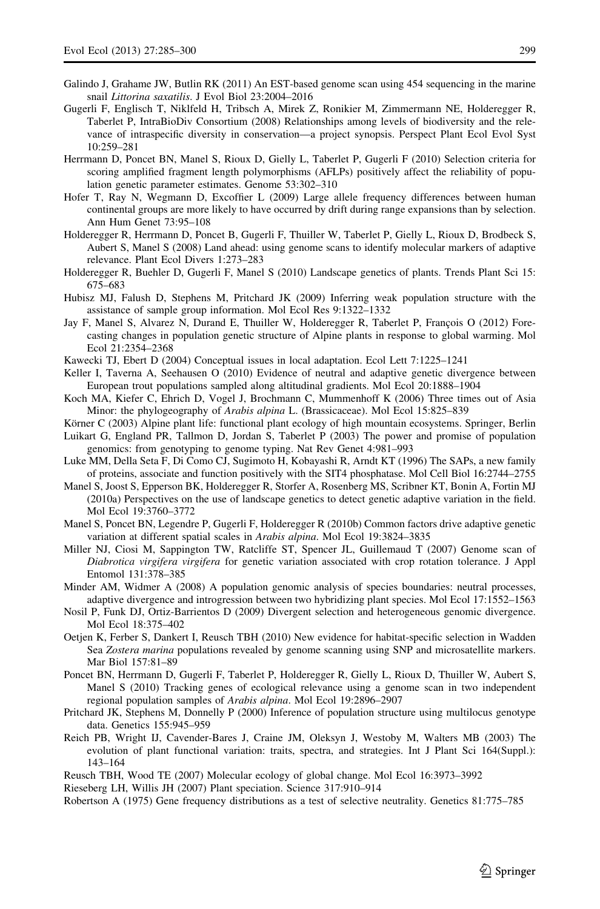- <span id="page-15-0"></span>Galindo J, Grahame JW, Butlin RK (2011) An EST-based genome scan using 454 sequencing in the marine snail Littorina saxatilis. J Evol Biol 23:2004–2016
- Gugerli F, Englisch T, Niklfeld H, Tribsch A, Mirek Z, Ronikier M, Zimmermann NE, Holderegger R, Taberlet P, IntraBioDiv Consortium (2008) Relationships among levels of biodiversity and the relevance of intraspecific diversity in conservation—a project synopsis. Perspect Plant Ecol Evol Syst 10:259–281
- Herrmann D, Poncet BN, Manel S, Rioux D, Gielly L, Taberlet P, Gugerli F (2010) Selection criteria for scoring amplified fragment length polymorphisms (AFLPs) positively affect the reliability of population genetic parameter estimates. Genome 53:302–310
- Hofer T, Ray N, Wegmann D, Excoffier L (2009) Large allele frequency differences between human continental groups are more likely to have occurred by drift during range expansions than by selection. Ann Hum Genet 73:95–108
- Holderegger R, Herrmann D, Poncet B, Gugerli F, Thuiller W, Taberlet P, Gielly L, Rioux D, Brodbeck S, Aubert S, Manel S (2008) Land ahead: using genome scans to identify molecular markers of adaptive relevance. Plant Ecol Divers 1:273–283
- Holderegger R, Buehler D, Gugerli F, Manel S (2010) Landscape genetics of plants. Trends Plant Sci 15: 675–683
- Hubisz MJ, Falush D, Stephens M, Pritchard JK (2009) Inferring weak population structure with the assistance of sample group information. Mol Ecol Res 9:1322–1332
- Jay F, Manel S, Alvarez N, Durand E, Thuiller W, Holderegger R, Taberlet P, François O (2012) Forecasting changes in population genetic structure of Alpine plants in response to global warming. Mol Ecol 21:2354–2368
- Kawecki TJ, Ebert D (2004) Conceptual issues in local adaptation. Ecol Lett 7:1225–1241
- Keller I, Taverna A, Seehausen O (2010) Evidence of neutral and adaptive genetic divergence between European trout populations sampled along altitudinal gradients. Mol Ecol 20:1888–1904
- Koch MA, Kiefer C, Ehrich D, Vogel J, Brochmann C, Mummenhoff K (2006) Three times out of Asia Minor: the phylogeography of Arabis alpina L. (Brassicaceae). Mol Ecol 15:825–839
- Körner C (2003) Alpine plant life: functional plant ecology of high mountain ecosystems. Springer, Berlin
- Luikart G, England PR, Tallmon D, Jordan S, Taberlet P (2003) The power and promise of population genomics: from genotyping to genome typing. Nat Rev Genet 4:981–993
- Luke MM, Della Seta F, Di Como CJ, Sugimoto H, Kobayashi R, Arndt KT (1996) The SAPs, a new family of proteins, associate and function positively with the SIT4 phosphatase. Mol Cell Biol 16:2744–2755
- Manel S, Joost S, Epperson BK, Holderegger R, Storfer A, Rosenberg MS, Scribner KT, Bonin A, Fortin MJ (2010a) Perspectives on the use of landscape genetics to detect genetic adaptive variation in the field. Mol Ecol 19:3760–3772
- Manel S, Poncet BN, Legendre P, Gugerli F, Holderegger R (2010b) Common factors drive adaptive genetic variation at different spatial scales in Arabis alpina. Mol Ecol 19:3824–3835
- Miller NJ, Ciosi M, Sappington TW, Ratcliffe ST, Spencer JL, Guillemaud T (2007) Genome scan of Diabrotica virgifera virgifera for genetic variation associated with crop rotation tolerance. J Appl Entomol 131:378–385
- Minder AM, Widmer A (2008) A population genomic analysis of species boundaries: neutral processes, adaptive divergence and introgression between two hybridizing plant species. Mol Ecol 17:1552–1563
- Nosil P, Funk DJ, Ortiz-Barrientos D (2009) Divergent selection and heterogeneous genomic divergence. Mol Ecol 18:375–402
- Oetjen K, Ferber S, Dankert I, Reusch TBH (2010) New evidence for habitat-specific selection in Wadden Sea Zostera marina populations revealed by genome scanning using SNP and microsatellite markers. Mar Biol 157:81–89
- Poncet BN, Herrmann D, Gugerli F, Taberlet P, Holderegger R, Gielly L, Rioux D, Thuiller W, Aubert S, Manel S (2010) Tracking genes of ecological relevance using a genome scan in two independent regional population samples of Arabis alpina. Mol Ecol 19:2896–2907
- Pritchard JK, Stephens M, Donnelly P (2000) Inference of population structure using multilocus genotype data. Genetics 155:945–959
- Reich PB, Wright IJ, Cavender-Bares J, Craine JM, Oleksyn J, Westoby M, Walters MB (2003) The evolution of plant functional variation: traits, spectra, and strategies. Int J Plant Sci 164(Suppl.): 143–164
- Reusch TBH, Wood TE (2007) Molecular ecology of global change. Mol Ecol 16:3973–3992

Rieseberg LH, Willis JH (2007) Plant speciation. Science 317:910–914

Robertson A (1975) Gene frequency distributions as a test of selective neutrality. Genetics 81:775–785